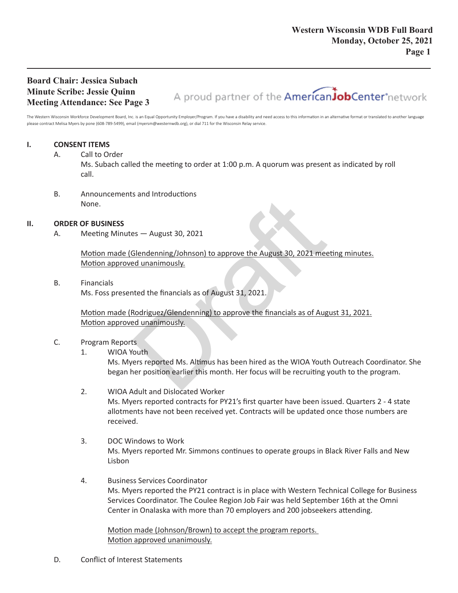# **Board Chair: Jessica Subach Minute Scribe: Jessie Quinn Meeting Attendance: See Page 3**

A proud partner of the AmericanJobCenter\*network

The Western Wisconsin Workforce Development Board, Inc. is an Equal Opportunity Employer/Program. If you have a disability and need access to this information in an alternative format or translated to another language please contract Melisa Myers by pone (608-789-5499), email (myersm@westernwdb.org), or dial 711 for the Wisconsin Relay service.

# **I. CONSENT ITEMS**

#### A. Call to Order

Ms. Subach called the meeting to order at 1:00 p.m. A quorum was present as indicated by roll call.

B. Announcements and Introductions None.

### **II. ORDER OF BUSINESS**

A. Meeting Minutes — August 30, 2021

Motion made (Glendenning/Johnson) to approve the August 30, 2021 meeting minutes. Motion approved unanimously. es — August 30, 2021<br>
Slendenning/Johnson) to approve the August 30, 2021 meet<br>
and unanimously.<br>
And the financials as of August 31, 2021.<br>
Rodriguez/Glendenning) to approve the financials as of August<br>
duananimously.<br>
St

B. Financials

Ms. Foss presented the financials as of August 31, 2021.

Motion made (Rodriguez/Glendenning) to approve the financials as of August 31, 2021. Motion approved unanimously.

### C. Program Reports

1. WIOA Youth

Ms. Myers reported Ms. Altimus has been hired as the WIOA Youth Outreach Coordinator. She began her position earlier this month. Her focus will be recruiting youth to the program.

- 2. WIOA Adult and Dislocated Worker Ms. Myers reported contracts for PY21's first quarter have been issued. Quarters 2 - 4 state allotments have not been received yet. Contracts will be updated once those numbers are received.
- 3. DOC Windows to Work Ms. Myers reported Mr. Simmons continues to operate groups in Black River Falls and New Lisbon
- 4. Business Services Coordinator Ms. Myers reported the PY21 contract is in place with Western Technical College for Business Services Coordinator. The Coulee Region Job Fair was held September 16th at the Omni Center in Onalaska with more than 70 employers and 200 jobseekers attending.

Motion made (Johnson/Brown) to accept the program reports. Motion approved unanimously.

D. Conflict of Interest Statements